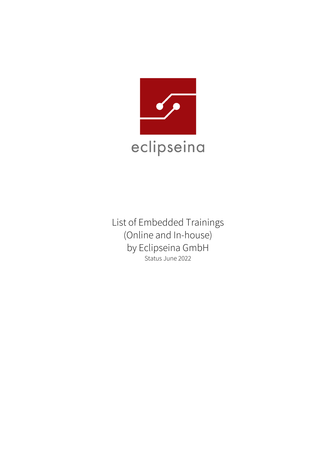

List of Embedded Trainings (Online and In-house) by Eclipseina GmbH Status June 2022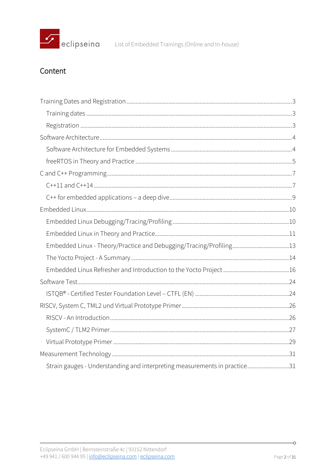

# Content

| Embedded Linux - Theory/Practice and Debugging/Tracing/Profiling13        |  |
|---------------------------------------------------------------------------|--|
|                                                                           |  |
|                                                                           |  |
|                                                                           |  |
|                                                                           |  |
|                                                                           |  |
|                                                                           |  |
|                                                                           |  |
|                                                                           |  |
|                                                                           |  |
| Strain gauges - Understanding and interpreting measurements in practice31 |  |

 $\overline{\circ}$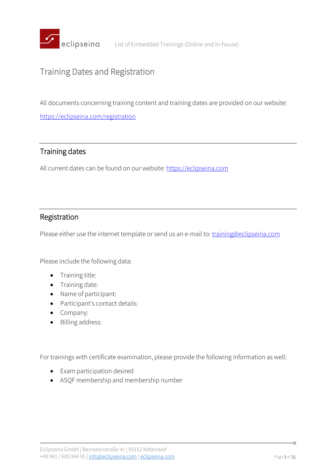

List of Embedded Trainings (Online and In-house)

# <span id="page-2-0"></span>Training Dates and Registration

All documents concerning training content and training dates are provided on our website:

<https://eclipseina.com/registration>

# <span id="page-2-1"></span>Training dates

All current dates can be found on our website: [https://eclipseina.com](https://eclipseina.com/)

## <span id="page-2-2"></span>Registration

Please either use the internet template or send us an e-mail to[: training@eclipseina.com](mailto:training@eclipseina.com)

Please include the following data:

- Training title:
- Training date:
- Name of participant:
- Participant's contact details:
- Company:
- Billing address:

For trainings with certificate examination, please provide the following information as well:

- Exam participation desired
- ASQF membership and membership number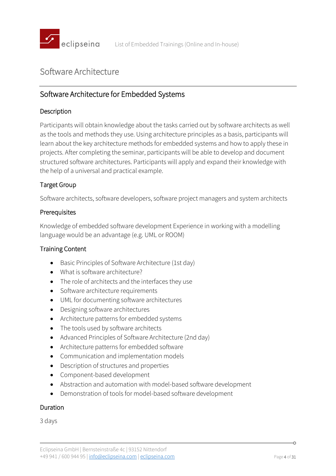

# <span id="page-3-0"></span>Software Architecture

# <span id="page-3-1"></span>Software Architecture for Embedded Systems

## Description

Participants will obtain knowledge about the tasks carried out by software architects as well as the tools and methods they use. Using architecture principles as a basis, participants will learn about the key architecture methods for embedded systems and how to apply these in projects. After completing the seminar, participants will be able to develop and document structured software architectures. Participants will apply and expand their knowledge with the help of a universal and practical example.

## Target Group

Software architects, software developers, software project managers and system architects

## **Prerequisites**

Knowledge of embedded software development Experience in working with a modelling language would be an advantage (e.g. UML or ROOM)

## Training Content

- Basic Principles of Software Architecture (1st day)
- What is software architecture?
- The role of architects and the interfaces they use
- Software architecture requirements
- UML for documenting software architectures
- Designing software architectures
- Architecture patterns for embedded systems
- The tools used by software architects
- Advanced Principles of Software Architecture (2nd day)
- Architecture patterns for embedded software
- Communication and implementation models
- Description of structures and properties
- Component-based development
- Abstraction and automation with model-based software development
- Demonstration of tools for model-based software development

### Duration

3 days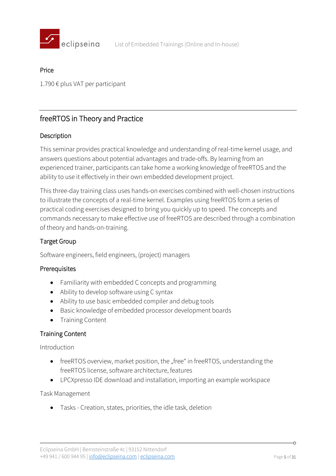

## Price

1.790 € plus VAT per participant

## <span id="page-4-0"></span>freeRTOS in Theory and Practice

## Description

This seminar provides practical knowledge and understanding of real-time kernel usage, and answers questions about potential advantages and trade-offs. By learning from an experienced trainer, participants can take home a working knowledge of freeRTOS and the ability to use it effectively in their own embedded development project.

This three-day training class uses hands-on exercises combined with well-chosen instructions to illustrate the concepts of a real-time kernel. Examples using freeRTOS form a series of practical coding exercises designed to bring you quickly up to speed. The concepts and commands necessary to make effective use of freeRTOS are described through a combination of theory and hands-on-training.

## Target Group

Software engineers, field engineers, (project) managers

## **Prerequisites**

- Familiarity with embedded C concepts and programming
- Ability to develop software using C syntax
- Ability to use basic embedded compiler and debug tools
- Basic knowledge of embedded processor development boards
- Training Content

## Training Content

Introduction

- freeRTOS overview, market position, the "free" in freeRTOS, understanding the freeRTOS license, software architecture, features
- LPCXpresso IDE download and installation, importing an example workspace

## Task Management

• Tasks - Creation, states, priorities, the idle task, deletion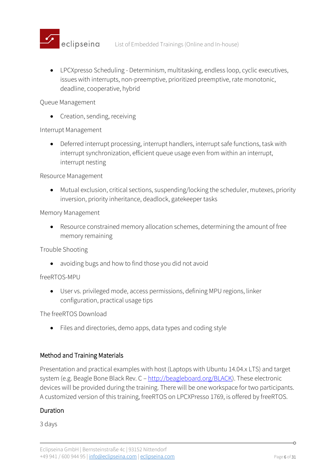

• LPCXpresso Scheduling - Determinism, multitasking, endless loop, cyclic executives, issues with interrupts, non-preemptive, prioritized preemptive, rate monotonic, deadline, cooperative, hybrid

## Queue Management

• Creation, sending, receiving

## Interrupt Management

• Deferred interrupt processing, interrupt handlers, interrupt safe functions, task with interrupt synchronization, efficient queue usage even from within an interrupt, interrupt nesting

Resource Management

• Mutual exclusion, critical sections, suspending/locking the scheduler, mutexes, priority inversion, priority inheritance, deadlock, gatekeeper tasks

## Memory Management

• Resource constrained memory allocation schemes, determining the amount of free memory remaining

## Trouble Shooting

• avoiding bugs and how to find those you did not avoid

## freeRTOS-MPU

• User vs. privileged mode, access permissions, defining MPU regions, linker configuration, practical usage tips

The freeRTOS Download

• Files and directories, demo apps, data types and coding style

## Method and Training Materials

Presentation and practical examples with host (Laptops with Ubuntu 14.04.x LTS) and target system (e.g. Beagle Bone Black Rev. C – [http://beagleboard.org/BLACK\)](http://beagleboard.org/BLACK). These electronic devices will be provided during the training. There will be one workspace for two participants. A customized version of this training, freeRTOS on LPCXPresso 1769, is offered by freeRTOS.

## **Duration**

3 days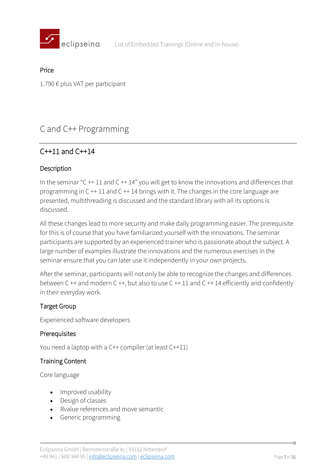

Price

1.790 € plus VAT per participant

# <span id="page-6-0"></span>C and C++ Programming

# <span id="page-6-1"></span>C++11 and C++14

## Description

In the seminar "C ++ 11 and C ++ 14" you will get to know the innovations and differences that programming in C ++ 11 and C ++ 14 brings with it. The changes in the core language are presented, multithreading is discussed and the standard library with all its options is discussed.

All these changes lead to more security and make daily programming easier. The prerequisite for this is of course that you have familiarized yourself with the innovations. The seminar participants are supported by an experienced trainer who is passionate about the subject. A large number of examples illustrate the innovations and the numerous exercises in the seminar ensure that you can later use it independently in your own projects.

After the seminar, participants will not only be able to recognize the changes and differences between C ++ and modern C ++, but also to use C ++ 11 and C ++ 14 efficiently and confidently in their everyday work.

## Target Group

Experienced software developers

## **Prerequisites**

You need a laptop with a C++ compiler (at least C++11)

## Training Content

Core language

- Improved usability
- Design of classes
- Rvalue references and move semantic
- Generic programming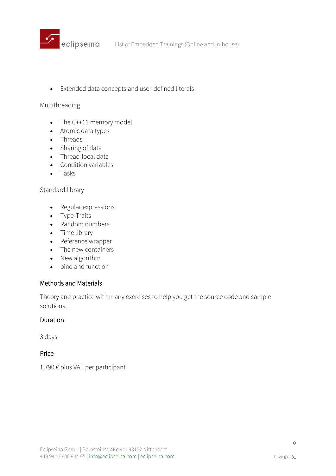

• Extended data concepts and user-defined literals

#### Multithreading

- The C++11 memory model
- Atomic data types
- Threads
- Sharing of data
- Thread-local data
- Condition variables
- Tasks

## Standard library

- Regular expressions
- Type-Traits
- Random numbers
- Time library
- Reference wrapper
- The new containers
- New algorithm
- bind and function

### Methods and Materials

Theory and practice with many exercises to help you get the source code and sample solutions.

## Duration

3 days

### Price

1.790 € plus VAT per participant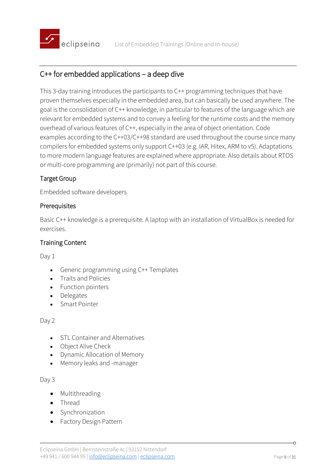

# <span id="page-8-0"></span>C++ for embedded applications – a deep dive

This 3-day training introduces the participants to C++ programming techniques that have proven themselves especially in the embedded area, but can basically be used anywhere. The goal is the consolidation of C++ knowledge, in particular to features of the language which are relevant for embedded systems and to convey a feeling for the runtime costs and the memory overhead of various features of C++, especially in the area of object orientation. Code examples according to the C++03/C++98 standard are used throughout the course since many compilers for embedded systems only support C++03 (e.g. IAR, Hitex, ARM to v5). Adaptations to more modern language features are explained where appropriate. Also details about RTOS or multi-core programming are (primarily) not part of this course.

## Target Group

Embedded software developers

## Prerequisites

Basic C++ knowledge is a prerequisite. A laptop with an installation of VirtualBox is needed for exercises.

### Training Content

Day 1

- Generic programming using C++ Templates
- Traits and Policies
- Function pointers
- Delegates
- Smart Pointer

### Day 2

- STL Container and Alternatives
- Object Alive Check
- Dynamic Allocation of Memory
- Memory leaks and -manager

### Day 3

- **Multithreading**
- Thread
- Synchronization
- Factory Design Pattern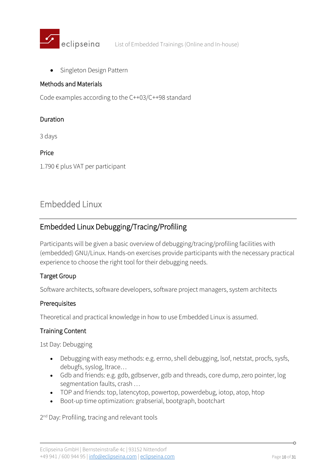

• Singleton Design Pattern

## Methods and Materials

Code examples according to the C++03/C++98 standard

## Duration

3 days

## Price

1.790 € plus VAT per participant

# <span id="page-9-0"></span>Embedded Linux

# <span id="page-9-1"></span>Embedded Linux Debugging/Tracing/Profiling

Participants will be given a basic overview of debugging/tracing/profiling facilities with (embedded) GNU/Linux. Hands-on exercises provide participants with the necessary practical experience to choose the right tool for their debugging needs.

## Target Group

Software architects, software developers, software project managers, system architects

## Prerequisites

Theoretical and practical knowledge in how to use Embedded Linux is assumed.

## Training Content

1st Day: Debugging

- Debugging with easy methods: e.g. errno, shell debugging, lsof, netstat, procfs, sysfs, debugfs, syslog, ltrace…
- Gdb and friends: e.g. gdb, gdbserver, gdb and threads, core dump, zero pointer, log segmentation faults, crash …
- TOP and friends: top, latencytop, powertop, powerdebug, iotop, atop, htop
- Boot-up time optimization: grabserial, bootgraph, bootchart

2<sup>nd</sup> Day: Profiling, tracing and relevant tools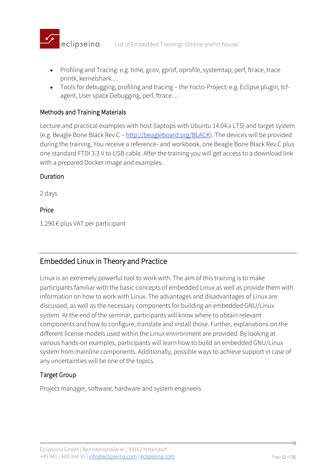

- Profiling and Tracing: e.g. time, gcov, gprof, oprofile, systemtap, perf, ftrace, trace printk, kernelshark…
- Tools for debugging, profiling and tracing the Yocto-Project: e.g. Eclipse plugin, tcfagent, User space Debugging, perf, ftrace…

## Methods and Training Materials

Lecture and practical examples with host (laptops with Ubuntu 14.04.x LTS) and target system (e.g. Beagle Bone Black Rev.C – [http://beagleboard.org/BLACK\)](http://beagleboard.org/BLACK). The devices will be provided during the training. You receive a reference- and workbook, one Beagle Bone Black Rev.C plus one standard FTDI 3.3 V to USB cable. After the training you will get access to a download link with a prepared Docker image and examples.

## Duration

2 days

## Price

1.290 € plus VAT per participant

## <span id="page-10-0"></span>Embedded Linux in Theory and Practice

Linux is an extremely powerful tool to work with. The aim of this training is to make participants familiar with the basic concepts of embedded Linux as well as provide them with information on how to work with Linux. The advantages and disadvantages of Linux are discussed, as well as the necessary components for building an embedded GNU/Linux system. At the end of the seminar, participants will know where to obtain relevant components and how to configure, translate and install those. Further, explanations on the different license models used within the Linux environment are provided. By looking at various hands-on examples, participants will learn how to build an embedded GNU/Linux system from mainline components. Additionally, possible ways to achieve support in case of any uncertainties will be one of the topics.

## Target Group

Project manager, software, hardware and system engineers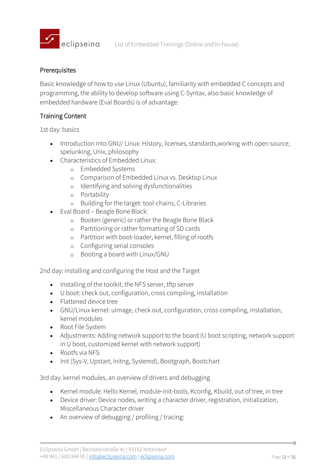

## Prerequisites

Basic knowledge of how to use Linux (Ubuntu), familiarity with embedded C concepts and programming, the ability to develop software using C-Syntax, also basic knowledge of embedded hardware (Eval Boards) is of advantage.

## Training Content

1st day: basics

- Introduction into GNU/ Linux: History, licenses, standards,working with open source, spelunking, Unix, philosophy
- Characteristics of Embedded Linux:
	- o Embedded Systems
	- o Comparison of Embedded Linux vs. Desktop Linux
	- o Identifying and solving dysfunctionalities
	- o Portability
	- o Building for the target: tool-chains, C-Libraries
- Eval Board Beagle Bone Black:
	- o Booten (generic) or rather the Beagle Bone Black
	- o Partitioning or rather formatting of SD cards
	- o Partition with boot-loader, kernel, filling of rootfs
	- o Configuring serial consoles
	- o Booting a board with Linux/GNU

2nd day: installing and configuring the Host and the Target

- Installing of the toolkit, the NFS server, tftp server
- U boot: check out, configuration, cross compiling, installation
- Flattened device tree
- GNU/Linux kernel: uImage, check out, configuration, cross compiling, installation, kernel modules
- Root File System
- Adjustments: Adding network support to the board (U boot scripting, network support in U boot, customized kernel with network support)
- Rootfs via NFS
- Init (Sys-V, Upstart, Initng, Systemd), Bootgraph, Bootchart

3rd day: kernel modules, an overview of drivers and debugging

- Kernel module: Hello Kernel, module-init-tools, Kconfig, Kbuild, out of tree, in tree
- Device driver: Device nodes, writing a character driver, registration, initialization, Miscellaneous Character driver
- An overview of debugging / profiling / tracing: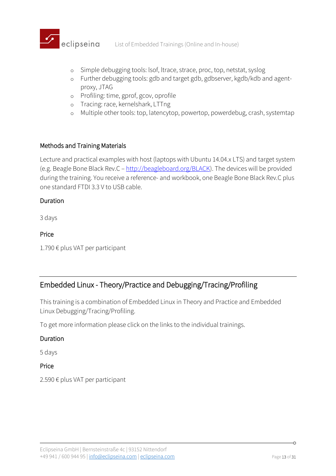

- o Simple debugging tools: lsof, ltrace, strace, proc, top, netstat, syslog
- o Further debugging tools: gdb and target gdb, gdbserver, kgdb/kdb and agentproxy, JTAG
- o Profiling: time, gprof, gcov, oprofile
- o Tracing: race, kernelshark, LTTng
- o Multiple other tools: top, latencytop, powertop, powerdebug, crash, systemtap

## Methods and Training Materials

Lecture and practical examples with host (laptops with Ubuntu 14.04.x LTS) and target system (e.g. Beagle Bone Black Rev.C – [http://beagleboard.org/BLACK\)](http://beagleboard.org/BLACK). The devices will be provided during the training. You receive a reference- and workbook, one Beagle Bone Black Rev.C plus one standard FTDI 3.3 V to USB cable.

### **Duration**

3 days

### Price

1.790 € plus VAT per participant

## <span id="page-12-0"></span>Embedded Linux - Theory/Practice and Debugging/Tracing/Profiling

This training is a combination of [Embedded Linux in Theory and Practice](#page-10-0) and [Embedded](#page-9-1)  [Linux Debugging/Tracing/Profiling.](#page-9-1)

To get more information please click on the links to the individual trainings.

### Duration

5 days

### Price

2.590 € plus VAT per participant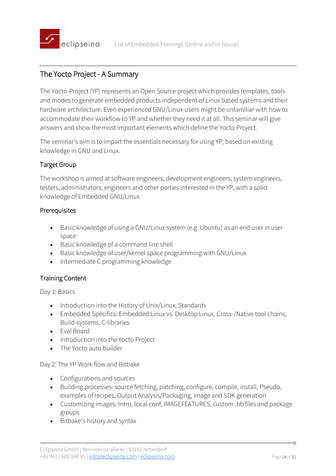

# <span id="page-13-0"></span>The Yocto Project - A Summary

The Yocto-Project (YP) represents an Open Source project which provides templates, tools and modes to generate embedded products independent of Linux based systems and their hardware architecture. Even experienced GNU/Linux-users might be unfamiliar with how to accommodate their workflow to YP and whether they need it at all. This seminar will give answers and show the most important elements which define the Yocto Project.

The seminar's aim is to impart the essentials necessary for using YP, based on existing knowledge in GNU and Linux.

## Target Group

The workshop is aimed at software engineers, development engineers, system engineers, testers, administrators, engineers and other parties interested in the YP, with a solid knowledge of Embedded GNU/Linux.

## Prerequisites

- Basic knowledge of using a GNU/Linux system (e.g. Ubuntu) as an end user in user space
- Basic knowledge of a command line shell
- Basic knowledge of user/kernel space programming with GNU/Linux
- Intermediate C programming knowledge

## Training Content

Day 1: Basics

- Introduction into the History of Unix/Linux, Standards
- Embedded Specifics: Embedded Linux vs. Desktop Linux, Cross-/Native tool chains, Build-systems, C-libraries
- Eval Board
- Introduction into the Yocto Project
- The Yocto auto builder

Day 2: The YP-Work flow and Bitbake

- Configurations and sources
- Building processes: source fetching, patching, configure, compile, install, Pseudo, examples of recipes, Output Analysis/Packaging, image and SDK generation
- Customizing images: Intro, local.conf, IMAGEFEATURES, custom .bb files and package groups
- Bitbake's history and syntax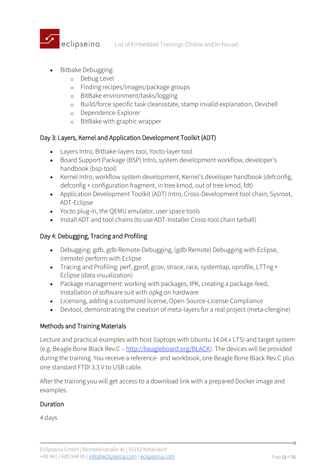- Bitbake Debugging:
	- o Debug Level
	- o Finding recipes/images/package groups
	- o BitBake environment/tasks/logging
	- o Build/force specific task cleansstate, stamp invalid explanation, Devshell
	- o Dependence-Explorer
	- o BitBake with graphic wrapper

## Day 3: Layers, Kernel and Application Development Toolkit (ADT)

- Layers Intro, Bitbake-layers tool, Yocto-layer tool
- Board Support Package (BSP) Intro, system development workflow, developer's handbook (bsp-tool)
- Kernel Intro, workflow system development, Kernel's developer handbook (defconfig, defconfig + configuration fragment, in tree kmod, out of tree kmod, fdt)
- Application Development Toolkit (ADT) Intro, Cross-Development tool chain, Sysroot, ADT-Eclipse
- Yocto plug-in, the QEMU emulator, user space tools
- Install ADT and tool chains (to use ADT-Installer Cross-tool chain tarball)

## Day 4: Debugging, Tracing and Profiling

- Debugging: gdb, gdb Remote-Debugging, (gdb Remote) Debugging with Eclipse, (remote) perform with Eclipse
- Tracing and Profiling: perf, gprof, gcov, strace, race, systemtap, oprofile, LTTng + Eclipse (data visualization)
- Package management: working with packages, IPK, creating a package-feed, Installation of software suit with opkg on hardware
- Licensing, adding a customized license, Open-Source-License-Compliance
- Devtool, demonstrating the creation of meta-layers for a real project (meta-cfengine)

## Methods and Training Materials

Lecture and practical examples with host (laptops with Ubuntu 14.04.x LTS) and target system (e.g. Beagle Bone Black Rev.C – [http://beagleboard.org/BLACK\)](http://beagleboard.org/BLACK). The devices will be provided during the training. You receive a reference- and workbook, one Beagle Bone Black Rev.C plus one standard FTDI 3.3 V to USB cable.

After the training you will get access to a download link with a prepared Docker image and examples.

## **Duration**

4 days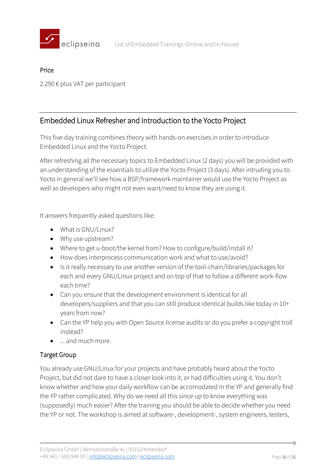

## Price

2.290 € plus VAT per participant

# <span id="page-15-0"></span>Embedded Linux Refresher and Introduction to the Yocto Project

This five-day training combines theory with hands-on exercises in order to introduce Embedded Linux and the Yocto Project.

After refreshing all the necessary topics to Embedded Linux (2 days) you will be provided with an understanding of the essentials to utilize the Yocto Project (3 days). After intruding you to Yocto in general we'll see how a BSP/framework maintainer would use the Yocto Project as well as developers who might not even want/need to know they are using it.

It answers frequently asked questions like:

- What is GNU/Linux?
- Why use upstream?
- Where to get u-boot/the kernel from? How to configure/build/install it?
- How does interprocess communication work and what to use/avoid?
- Is it really necessary to use another version of the tool-chain/libraries/packages for each and every GNU/Linux project and on top of that to follow a different work-flow each time?
- Can you ensure that the development environment is identical for all developers/suppliers and that you can still produce identical builds like today in 10+ years from now?
- Can the YP help you with Open Source license audits or do you prefer a copyright troll instead?
- ... and much more.

## Target Group

You already use GNU/Linux for your projects and have probably heard about the Yocto Project, but did not dare to have a closer look into it, or had difficulties using it. You don't know whether and how your daily workflow can be accomodated in the YP and generally find the YP rather complicated. Why do we need all this since up to know everything was (supposedly) much easier? After the training you should be able to decide whether you need the YP or not. The workshop is aimed at software-, development-, system engineers, testers,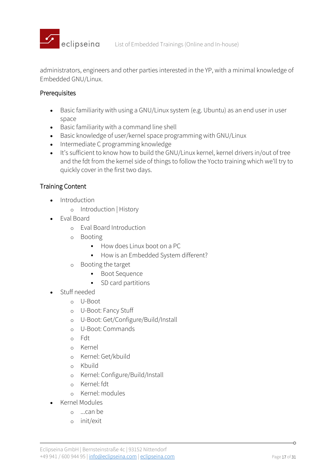

administrators, engineers and other parties interested in the YP, with a minimal knowledge of Embedded GNU/Linux.

## Prerequisites

- Basic familiarity with using a GNU/Linux system (e.g. Ubuntu) as an end user in user space
- Basic familiarity with a command line shell
- Basic knowledge of user/kernel space programming with GNU/Linux
- Intermediate C programming knowledge
- It's sufficient to know how to build the GNU/Linux kernel, kernel drivers in/out of tree and the fdt from the kernel side of things to follow the Yocto training which we'll try to quickly cover in the first two days.

## Training Content

- Introduction
	- o Introduction | History
- Eval Board
	- o Eval Board Introduction
	- o Booting
		- How does Linux boot on a PC
		- How is an Embedded System different?
	- o Booting the target
		- Boot Sequence
		- SD card partitions
- Stuff needed
	- o U-Boot
	- o U-Boot: Fancy Stuff
	- o U-Boot: Get/Configure/Build/Install
	- o U-Boot: Commands
	- o Fdt
	- o Kernel
	- o Kernel: Get/kbuild
	- o Kbuild
	- o Kernel: Configure/Build/Install
	- o Kernel: fdt
	- o Kernel: modules
- Kernel Modules
	- o ...can be
	- o init/exit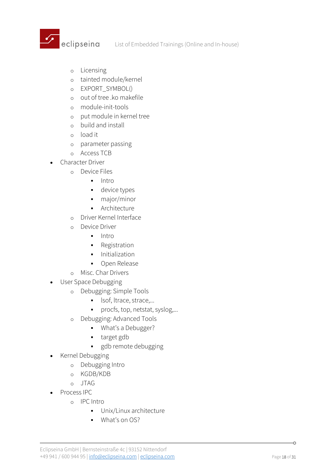o Licensing

 $\sqrt{\phantom{a}}$ 

- o tainted module/kernel
- o EXPORT\_SYMBOL()
- o out of tree .ko makefile
- o module-init-tools
- o put module in kernel tree
- o build and install
- o load it
- o parameter passing
- o Access TCB
- Character Driver
	- o Device Files
		- Intro
		- device types
		- major/minor
		- **■** Architecture
	- o Driver Kernel Interface
	- o Device Driver
		- Intro
		- **•** Registration
		- **·** Initialization
		- Open Release
	- o Misc. Char Drivers
- User Space Debugging
	- o Debugging: Simple Tools
		- lsof, ltrace, strace,...
		- procfs, top, netstat, syslog,...
	- o Debugging: Advanced Tools
		- What's a Debugger?
		- target gdb
		- gdb remote debugging
- Kernel Debugging
	- o Debugging Intro
	- o KGDB/KDB
	- o JTAG
- Process IPC
	- o IPC Intro
		- Unix/Linux architecture
		- What's on OS?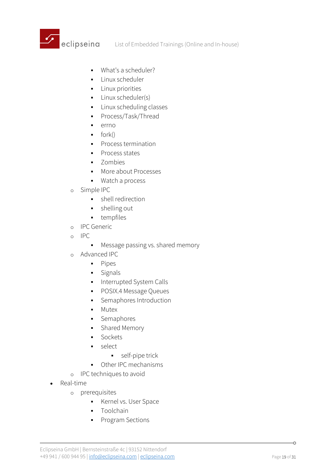

- What's a scheduler?
- **■** Linux scheduler
- **·** Linux priorities
- **·** Linux scheduler(s)
- Linux scheduling classes
- Process/Task/Thread
- errno
- $-$  fork()
- **•** Process termination
- Process states
- Zombies
- More about Processes
- Watch a process
- o Simple IPC
	- **•** shell redirection
	- shelling out
	- **·** tempfiles
- o IPC Generic
- o IPC
	- Message passing vs. shared memory
- o Advanced IPC
	- Pipes
	- Signals
	- **·** Interrupted System Calls
	- POSIX.4 Message Queues
	- **•** Semaphores Introduction
	- Mutex
	- **·** Semaphores
	- **•** Shared Memory
	- Sockets
	- select
		- self-pipe trick
	- Other IPC mechanisms
- o IPC techniques to avoid
- Real-time
	- o prerequisites
		- **EXECTED VS. User Space**
		- **•** Toolchain
		- Program Sections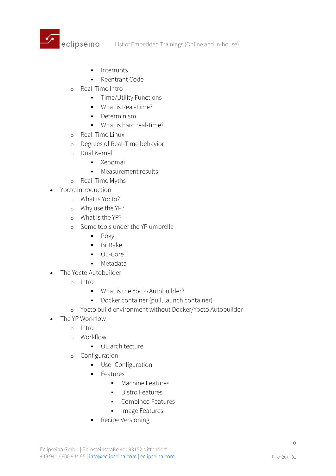- **·** Interrupts
- Reentrant Code
- o Real-Time Intro

 $\sqrt{2}$ 

- **·** Time/Utility Functions
- What is Real-Time?
- Determinism
- What is hard real-time?
- o Real-Time Linux
- o Degrees of Real-Time behavior
- o Dual Kernel
	- Xenomai
	- Measurement results
- o Real-Time Myths
- Yocto Introduction
	- o What is Yocto?
	- o Why use the YP?
	- o What is the YP?
	- o Some tools under the YP umbrella
		- Poky
		- BitBake
		- OE-Core
		- Metadata
- The Yocto Autobuilder
	- o Intro
		- What is the Yocto Autobuilder?
		- Docker container (pull, launch container)
	- o Yocto build environment without Docker/Yocto Autobuilder
- The YP Workflow
	- o Intro
	- o Workflow
		- OE architecture
	- o Configuration
		- **■** User Configuration
		- Features
			- Machine Features
			- Distro Features
			- Combined Features
			- **·** Image Features
		- Recipe Versioning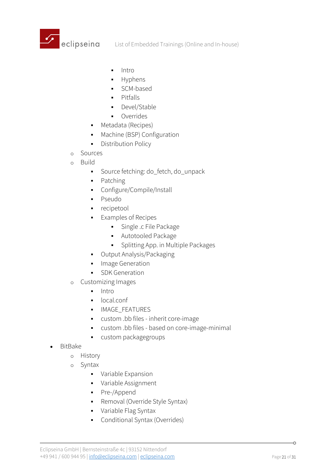

- **Intro**
- Hyphens
- SCM-based
- Pitfalls
- Devel/Stable
- **•** Overrides
- Metadata (Recipes)
- Machine (BSP) Configuration
- **•** Distribution Policy
- o Sources
- o Build
	- Source fetching: do\_fetch, do\_unpack
	- Patching
	- Configure/Compile/Install
	- Pseudo
	- recipetool
	- **Examples of Recipes** 
		- Single .c File Package
		- Autotooled Package
		- Splitting App. in Multiple Packages
	- Output Analysis/Packaging
	- **·** Image Generation
	- **•** SDK Generation
- o Customizing Images
	- Intro
	- local.conf
	- **· IMAGE FEATURES**
	- custom .bb files inherit core-image
	- custom .bb files based on core-image-minimal
	- custom packagegroups
- BitBake
	- o History
	- o Syntax
		- Variable Expansion
		- Variable Assignment
		- Pre-/Append
		- **•** Removal (Override Style Syntax)
		- Variable Flag Syntax
		- Conditional Syntax (Overrides)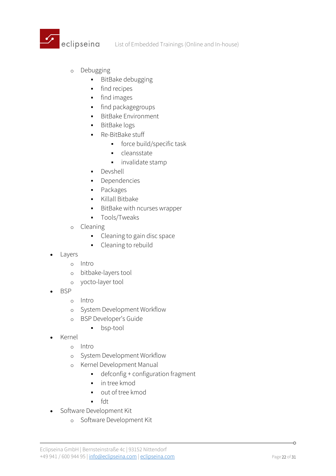- o Debugging
	- BitBake debugging
	- find recipes
	- find images
	- find packagegroups
	- BitBake Environment
	- BitBake logs
	- Re-BitBake stuff
		- force build/specific task
		- cleansstate
		- **·** invalidate stamp
	- **•** Devshell
	- Dependencies
	- Packages
	- Killall Bitbake
	- BitBake with ncurses wrapper
	- Tools/Tweaks
- o Cleaning
	- Cleaning to gain disc space
	- Cleaning to rebuild
- **Layers** 
	- o Intro
	- o bitbake-layers tool
	- o yocto-layer tool
- BSP
	- o Intro
	- o System Development Workflow
	- o BSP Developer's Guide
		- bsp-tool
- Kernel
	- o Intro
	- o System Development Workflow
	- o Kernel Development Manual
		- **•** defconfig + configuration fragment
		- in tree kmod
		- out of tree kmod
		- fdt
- Software Development Kit
	- o Software Development Kit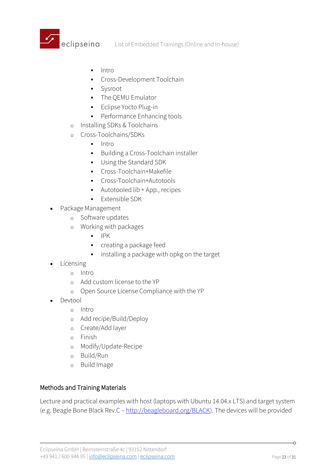

- Intro
- Cross-Development Toolchain
- Sysroot
- **·** The QEMU Emulator
- **Eclipse Yocto Plug-in**
- **•** Performance Enhancing tools
- o Installing SDKs & Toolchains
- o Cross-Toolchains/SDKs
	- Intro
	- Building a Cross-Toolchain installer
	- **■** Using the Standard SDK
	- Cross-Toolchain+Makefile
	- Cross-Toolchain+Autotools
	- $\blacksquare$  Autotooled lib + App., recipes
	- Extensible SDK
- Package Management
	- o Software updates
	- o Working with packages
		- $\blacksquare$  IPK
		- creating a package feed
		- installing a package with opkg on the target
- Licensing
	- o Intro
	- o Add custom license to the YP
	- o Open Source License Compliance with the YP
- Devtool
	- o Intro
	- o Add recipe/Build/Deploy
	- o Create/Add layer
	- o Finish
	- o Modify/Update-Recipe
	- o Build/Run
	- o Build Image

## Methods and Training Materials

Lecture and practical examples with host (laptops with Ubuntu 14.04.x LTS) and target system (e.g. Beagle Bone Black Rev.C - [http://beagleboard.org/BLACK\)](http://beagleboard.org/BLACK). The devices will be provided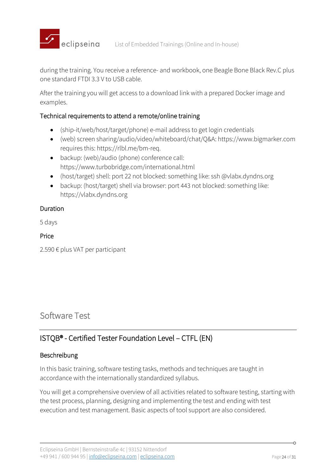

during the training. You receive a reference- and workbook, one Beagle Bone Black Rev.C plus one standard FTDI 3.3 V to USB cable.

After the training you will get access to a download link with a prepared Docker image and examples.

## Technical requirements to attend a remote/online training

- (ship-it/web/host/target/phone) e-mail address to get login credentials
- (web) screen sharing/audio/video/whiteboard/chat/Q&A: https://www.bigmarker.com requires this: https://rlbl.me/bm-req.
- backup: (web)/audio (phone) conference call: https://www.turbobridge.com/international.html
- (host/target) shell: port 22 not blocked: something like: ssh @vlabx.dyndns.org
- backup: (host/target) shell via browser: port 443 not blocked: something like: https://vlabx.dyndns.org

## Duration

5 days

## Price

2.590 € plus VAT per participant

# <span id="page-23-0"></span>Software Test

# <span id="page-23-1"></span>ISTQB® - Certified Tester Foundation Level – CTFL (EN)

## Beschreibung

In this basic training, software testing tasks, methods and techniques are taught in accordance with the internationally standardized syllabus.

You will get a comprehensive overview of all activities related to software testing, starting with the test process, planning, designing and implementing the test and ending with test execution and test management. Basic aspects of tool support are also considered.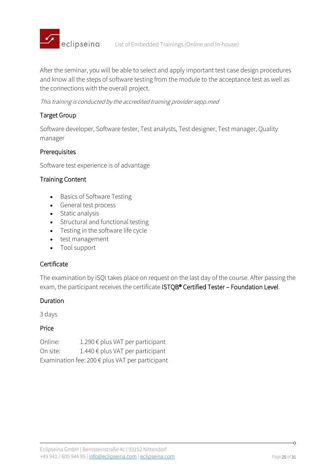

After the seminar, you will be able to select and apply important test case design procedures and know all the steps of software testing from the module to the acceptance test as well as the connections with the overall project.

This training is conducted by the accredited training provider sepp.med

## Target Group

Software developer, Software tester, Test analysts, Test designer, Test manager, Quality manager

## Prerequisites

Software test experience is of advantage

## Training Content

- Basics of Software Testing
- General test process
- Static analysis
- Structural and functional testing
- Testing in the software life cycle
- test management
- Tool support

### **Certificate**

The examination by iSQI takes place on request on the last day of the course. After passing the exam, the participant receives the certificate ISTQB® Certified Tester – Foundation Level.

### **Duration**

3 days

### Price

Online: 1.290 € plus VAT per participant On site:  $1.440 \text{ } \in \text{plus } \text{VAT}$  per participant Examination fee: 200 € plus VAT per participant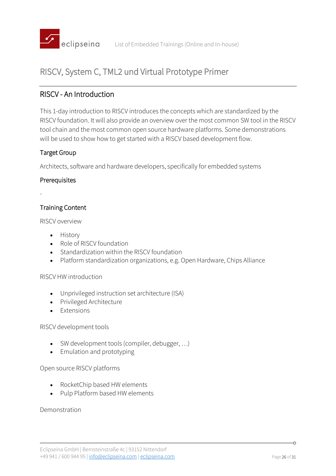

# <span id="page-25-0"></span>RISCV, System C, TML2 und Virtual Prototype Primer

## <span id="page-25-1"></span>RISCV - An Introduction

This 1-day introduction to RISCV introduces the concepts which are standardized by the RISCV foundation. It will also provide an overview over the most common SW tool in the RISCV tool chain and the most common open source hardware platforms. Some demonstrations will be used to show how to get started with a RISCV based development flow.

## Target Group

Architects, software and hardware developers, specifically for embedded systems

## **Prerequisites**

-

## Training Content

RISCV overview

- History
- Role of RISCV foundation
- Standardization within the RISCV foundation
- Platform standardization organizations, e.g. Open Hardware, Chips Alliance

### RISCV HW introduction

- Unprivileged instruction set architecture (ISA)
- Privileged Architecture
- Extensions

### RISCV development tools

- SW development tools (compiler, debugger, …)
- Emulation and prototyping

### Open source RISCV platforms

- RocketChip based HW elements
- Pulp Platform based HW elements

### Demonstration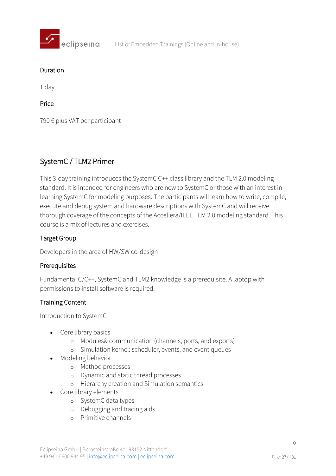

## Duration

1 day

## Price

790 € plus VAT per participant

# <span id="page-26-0"></span>SystemC / TLM2 Primer

This 3-day training introduces the SystemC C++ class library and the TLM 2.0 modeling standard. It is intended for engineers who are new to SystemC or those with an interest in learning SystemC for modeling purposes. The participants will learn how to write, compile, execute and debug system and hardware descriptions with SystemC and will receive thorough coverage of the concepts of the Accellera/IEEE TLM 2.0 modeling standard. This course is a mix of lectures and exercises.

## Target Group

Developers in the area of HW/SW co-design

## Prerequisites

Fundamental C/C++, SystemC and TLM2 knowledge is a prerequisite. A laptop with permissions to install software is required.

## Training Content

Introduction to SystemC

- Core library basics
	- o Modules& communication (channels, ports, and exports)
	- o Simulation kernel: scheduler, events, and event queues
- Modeling behavior
	- o Method processes
	- o Dynamic and static thread processes
	- o Hierarchy creation and Simulation semantics
- Core library elements
	- o SystemC data types
	- o Debugging and tracing aids
	- o Primitive channels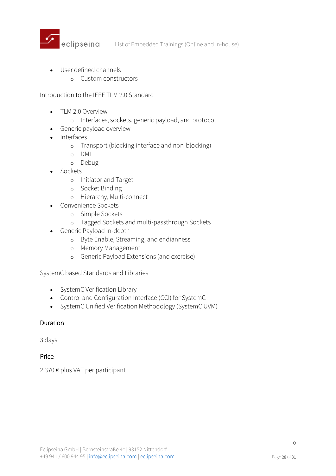

- User defined channels
	- o Custom constructors

Introduction to the IEEE TLM 2.0 Standard

- TLM 2.0 Overview
	- o Interfaces, sockets, generic payload, and protocol
- Generic payload overview
- Interfaces
	- o Transport (blocking interface and non-blocking)
	- o DMI
	- o Debug
- Sockets
	- o Initiator and Target
	- o Socket Binding
	- o Hierarchy, Multi-connect
- Convenience Sockets
	- o Simple Sockets
	- o Tagged Sockets and multi-passthrough Sockets
- Generic Payload In-depth
	- o Byte Enable, Streaming, and endianness
	- o Memory Management
	- o Generic Payload Extensions (and exercise)

SystemC based Standards and Libraries

- SystemC Verification Library
- Control and Configuration Interface (CCI) for SystemC
- SystemC Unified Verification Methodology (SystemC UVM)

#### Duration

3 days

#### Price

2.370 € plus VAT per participant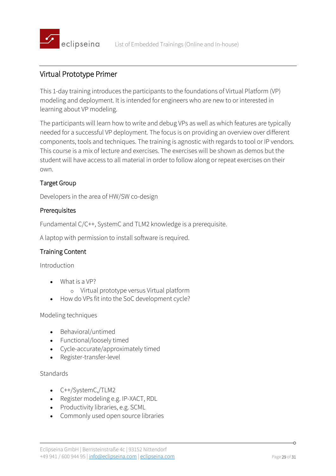

## <span id="page-28-0"></span>Virtual Prototype Primer

This 1-day training introduces the participants to the foundations of Virtual Platform (VP) modeling and deployment. It is intended for engineers who are new to or interested in learning about VP modeling.

The participants will learn how to write and debug VPs as well as which features are typically needed for a successful VP deployment. The focus is on providing an overview over different components, tools and techniques. The training is agnostic with regards to tool or IP vendors. This course is a mix of lecture and exercises. The exercises will be shown as demos but the student will have access to all material in order to follow along or repeat exercises on their own.

## Target Group

Developers in the area of HW/SW co-design

## **Prerequisites**

Fundamental C/C++, SystemC and TLM2 knowledge is a prerequisite.

A laptop with permission to install software is required.

## Training Content

Introduction

- What is a VP?
	- o Virtual prototype versus Virtual platform
- How do VPs fit into the SoC development cycle?

Modeling techniques

- Behavioral/untimed
- Functional/loosely timed
- Cycle-accurate/approximately timed
- Register-transfer-level

### Standards

- C++/SystemC,/TLM2
- Register modeling e.g. IP-XACT, RDL
- Productivity libraries, e.g. SCML
- Commonly used open source libraries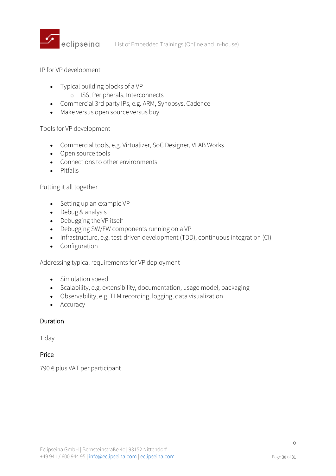

#### IP for VP development

- Typical building blocks of a VP
	- o ISS, Peripherals, Interconnects
- Commercial 3rd party IPs, e.g. ARM, Synopsys, Cadence
- Make versus open source versus buy

### Tools for VP development

- Commercial tools, e.g. Virtualizer, SoC Designer, VLAB Works
- Open source tools
- Connections to other environments
- Pitfalls

## Putting it all together

- Setting up an example VP
- Debug & analysis
- Debugging the VP itself
- Debugging SW/FW components running on a VP
- Infrastructure, e.g. test-driven development (TDD), continuous integration (CI)
- Configuration

### Addressing typical requirements for VP deployment

- Simulation speed
- Scalability, e.g. extensibility, documentation, usage model, packaging
- Observability, e.g. TLM recording, logging, data visualization
- Accuracy

### Duration

1 day

### Price

790 € plus VAT per participant